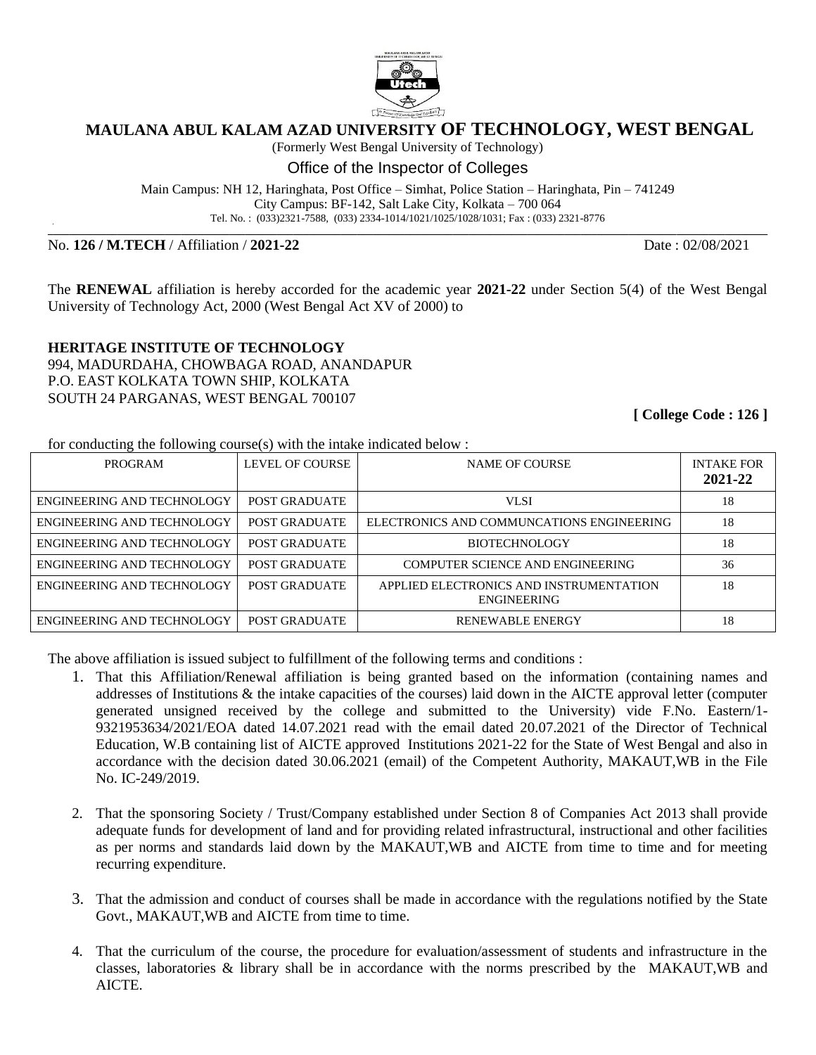

## **MAULANA ABUL KALAM AZAD UNIVERSITY OF TECHNOLOGY, WEST BENGAL**

(Formerly West Bengal University of Technology)

Office of the Inspector of Colleges

Main Campus: NH 12, Haringhata, Post Office – Simhat, Police Station – Haringhata, Pin – 741249 City Campus: BF-142, Salt Lake City, Kolkata – 700 064 Tel. No. : (033)2321-7588, (033) 2334-1014/1021/1025/1028/1031; Fax : (033) 2321-8776

**\_\_\_\_\_\_\_\_\_\_\_\_\_\_\_\_\_\_\_\_\_\_\_\_\_\_\_\_\_\_\_\_\_\_\_\_\_\_\_\_\_\_\_\_\_\_\_\_\_\_\_\_\_\_\_\_\_\_\_\_\_\_\_\_\_\_\_\_\_\_\_\_\_\_\_\_\_\_\_\_\_\_\_\_\_\_\_\_\_\_\_\_\_\_\_\_\_\_\_\_\_\_\_\_\_\_\_\_\_\_\_\_\_\_\_\_\_\_\_\_\_\_\_\_\_\_\_\_\_\_\_\_\_\_\_**

No. **126 / M.TECH** / Affiliation / **2021-22** Date : 02/08/2021

The **RENEWAL** affiliation is hereby accorded for the academic year **2021-22** under Section 5(4) of the West Bengal University of Technology Act, 2000 (West Bengal Act XV of 2000) to

**HERITAGE INSTITUTE OF TECHNOLOGY** 994, MADURDAHA, CHOWBAGA ROAD, ANANDAPUR P.O. EAST KOLKATA TOWN SHIP, KOLKATA SOUTH 24 PARGANAS, WEST BENGAL 700107

**[ College Code : 126 ]**

for conducting the following course(s) with the intake indicated below :

| <b>PROGRAM</b>             | LEVEL OF COURSE | <b>NAME OF COURSE</b>                                         | <b>INTAKE FOR</b><br>2021-22 |
|----------------------------|-----------------|---------------------------------------------------------------|------------------------------|
| ENGINEERING AND TECHNOLOGY | POST GRADUATE   | <b>VLSI</b>                                                   | 18                           |
| ENGINEERING AND TECHNOLOGY | POST GRADUATE   | ELECTRONICS AND COMMUNCATIONS ENGINEERING                     | 18                           |
| ENGINEERING AND TECHNOLOGY | POST GRADUATE   | <b>BIOTECHNOLOGY</b>                                          | 18                           |
| ENGINEERING AND TECHNOLOGY | POST GRADUATE   | COMPUTER SCIENCE AND ENGINEERING                              | 36                           |
| ENGINEERING AND TECHNOLOGY | POST GRADUATE   | APPLIED ELECTRONICS AND INSTRUMENTATION<br><b>ENGINEERING</b> | 18                           |
| ENGINEERING AND TECHNOLOGY | POST GRADUATE   | <b>RENEWABLE ENERGY</b>                                       | 18                           |

The above affiliation is issued subject to fulfillment of the following terms and conditions :

- 1. That this Affiliation/Renewal affiliation is being granted based on the information (containing names and addresses of Institutions & the intake capacities of the courses) laid down in the AICTE approval letter (computer generated unsigned received by the college and submitted to the University) vide F.No. Eastern/1- 9321953634/2021/EOA dated 14.07.2021 read with the email dated 20.07.2021 of the Director of Technical Education, W.B containing list of AICTE approved Institutions 2021-22 for the State of West Bengal and also in accordance with the decision dated 30.06.2021 (email) of the Competent Authority, MAKAUT,WB in the File No. IC-249/2019.
- 2. That the sponsoring Society / Trust/Company established under Section 8 of Companies Act 2013 shall provide adequate funds for development of land and for providing related infrastructural, instructional and other facilities as per norms and standards laid down by the MAKAUT,WB and AICTE from time to time and for meeting recurring expenditure.
- 3. That the admission and conduct of courses shall be made in accordance with the regulations notified by the State Govt., MAKAUT,WB and AICTE from time to time.
- 4. That the curriculum of the course, the procedure for evaluation/assessment of students and infrastructure in the classes, laboratories & library shall be in accordance with the norms prescribed by the MAKAUT,WB and AICTE.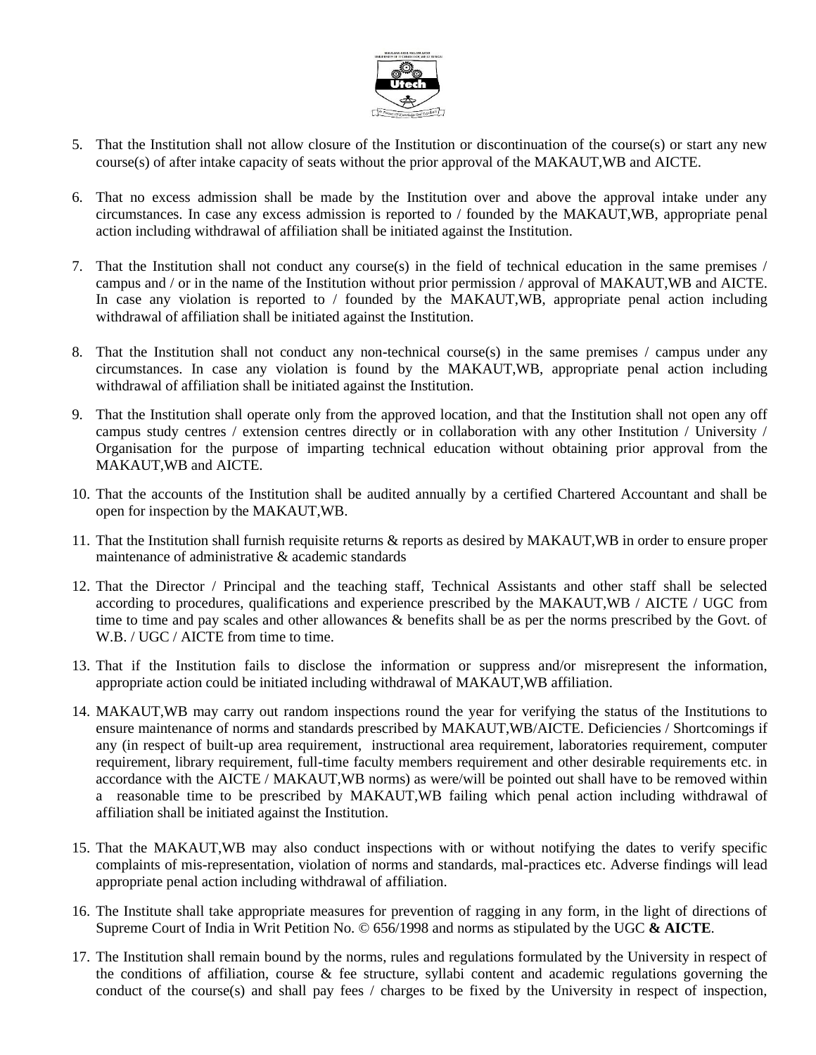

- 5. That the Institution shall not allow closure of the Institution or discontinuation of the course(s) or start any new course(s) of after intake capacity of seats without the prior approval of the MAKAUT,WB and AICTE.
- 6. That no excess admission shall be made by the Institution over and above the approval intake under any circumstances. In case any excess admission is reported to / founded by the MAKAUT,WB, appropriate penal action including withdrawal of affiliation shall be initiated against the Institution.
- 7. That the Institution shall not conduct any course(s) in the field of technical education in the same premises / campus and / or in the name of the Institution without prior permission / approval of MAKAUT,WB and AICTE. In case any violation is reported to / founded by the MAKAUT, WB, appropriate penal action including withdrawal of affiliation shall be initiated against the Institution.
- 8. That the Institution shall not conduct any non-technical course(s) in the same premises / campus under any circumstances. In case any violation is found by the MAKAUT,WB, appropriate penal action including withdrawal of affiliation shall be initiated against the Institution.
- 9. That the Institution shall operate only from the approved location, and that the Institution shall not open any off campus study centres / extension centres directly or in collaboration with any other Institution / University / Organisation for the purpose of imparting technical education without obtaining prior approval from the MAKAUT,WB and AICTE.
- 10. That the accounts of the Institution shall be audited annually by a certified Chartered Accountant and shall be open for inspection by the MAKAUT,WB.
- 11. That the Institution shall furnish requisite returns & reports as desired by MAKAUT,WB in order to ensure proper maintenance of administrative & academic standards
- 12. That the Director / Principal and the teaching staff, Technical Assistants and other staff shall be selected according to procedures, qualifications and experience prescribed by the MAKAUT,WB / AICTE / UGC from time to time and pay scales and other allowances & benefits shall be as per the norms prescribed by the Govt. of W.B. / UGC / AICTE from time to time.
- 13. That if the Institution fails to disclose the information or suppress and/or misrepresent the information, appropriate action could be initiated including withdrawal of MAKAUT,WB affiliation.
- 14. MAKAUT,WB may carry out random inspections round the year for verifying the status of the Institutions to ensure maintenance of norms and standards prescribed by MAKAUT,WB/AICTE. Deficiencies / Shortcomings if any (in respect of built-up area requirement, instructional area requirement, laboratories requirement, computer requirement, library requirement, full-time faculty members requirement and other desirable requirements etc. in accordance with the AICTE / MAKAUT,WB norms) as were/will be pointed out shall have to be removed within a reasonable time to be prescribed by MAKAUT,WB failing which penal action including withdrawal of affiliation shall be initiated against the Institution.
- 15. That the MAKAUT,WB may also conduct inspections with or without notifying the dates to verify specific complaints of mis-representation, violation of norms and standards, mal-practices etc. Adverse findings will lead appropriate penal action including withdrawal of affiliation.
- 16. The Institute shall take appropriate measures for prevention of ragging in any form, in the light of directions of Supreme Court of India in Writ Petition No. © 656/1998 and norms as stipulated by the UGC **& AICTE**.
- 17. The Institution shall remain bound by the norms, rules and regulations formulated by the University in respect of the conditions of affiliation, course & fee structure, syllabi content and academic regulations governing the conduct of the course(s) and shall pay fees / charges to be fixed by the University in respect of inspection,